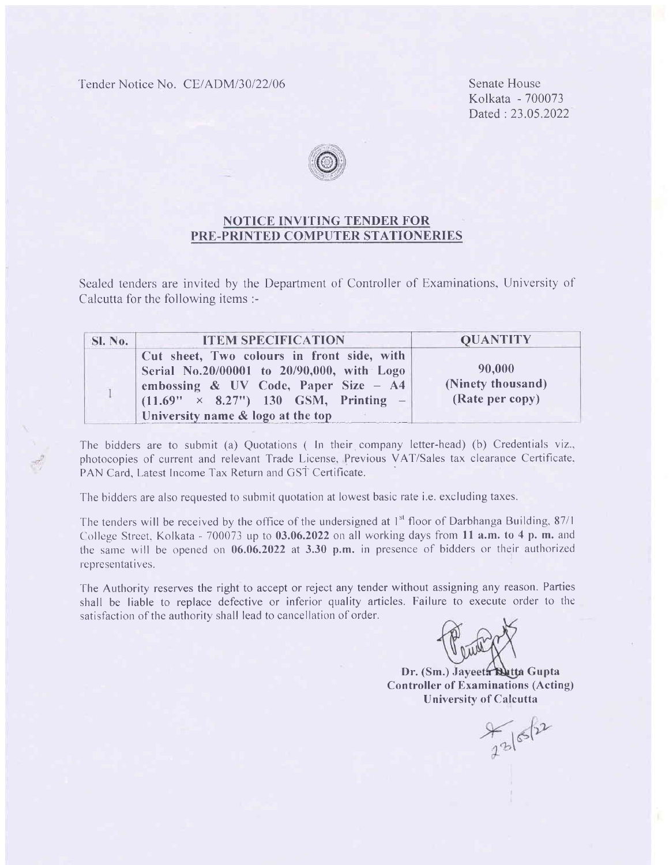Tender Notice No. CE/ADM/30/22/06 Senate House

Kolkata - 700073 Dated: 23.05.2022



## NOTICE INVITING'TENDER FOR PRE-PRINTED COMPUTER STATIONERIES

Sealed tenders are invited by the Department of Controller of Examinations, University of Calcutta for the following items :-

| <b>Sl. No.</b> | <b>ITEM SPECIFICATION</b>                                                                                                                                                                                            | <b>QUANTITY</b>                                |
|----------------|----------------------------------------------------------------------------------------------------------------------------------------------------------------------------------------------------------------------|------------------------------------------------|
|                | Cut sheet, Two colours in front side, with<br>Serial No.20/00001 to 20/90,000, with Logo<br>embossing & UV Code, Paper Size - A4<br>$(11.69" \times 8.27")$ 130 GSM, Printing -<br>University name & logo at the top | 90,000<br>(Ninety thousand)<br>(Rate per copy) |

The bidders are to submit (a) Quotations ( In their company letter-head) (b) Credentials viz., photocopies of current and relevant Trade License, Previous VAT/Sales tax clearance Certificate, PAN Card. Latest Income Tax Return and GST Certificate.

The bidders are also requested to submit quotation at lowest basic rate i.e. excluding taxes.

The tenders will be received by the office of the undersigned at  $1<sup>st</sup>$  floor of Darbhanga Building, 87/1 College Street. Kolkata - 700073 up to 03.06.2022 on all working days from 11 a.m. to 4 p.m. and the same will be opened on  $06.06.2022$  at  $3.30$  p.m. in presence of bidders or their authorized representatives.

'fhe Authority reserves the right to accept or reject any tender without assigning any reason. Parties shall be liable to replace defective or inferior quality articles. Failure to execute order to the satisfaction of the authority shall lead to cancellation of order.

Dr. (Sm.) Jayeeta Butta Gupta Controller of Examinations (Acting) lJniversity of Calcutta

 $\frac{1}{25}$  (5/2